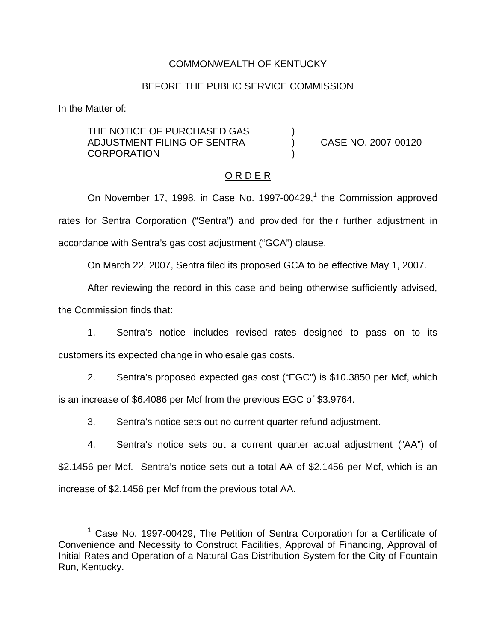## COMMONWEALTH OF KENTUCKY

### BEFORE THE PUBLIC SERVICE COMMISSION

In the Matter of:

THE NOTICE OF PURCHASED GAS ADJUSTMENT FILING OF SENTRA ) CASE NO. 2007-00120 **CORPORATION** 

### O R D E R

On November 17, 1998, in Case No. 1997-00429, $<sup>1</sup>$  the Commission approved</sup> rates for Sentra Corporation ("Sentra") and provided for their further adjustment in accordance with Sentra's gas cost adjustment ("GCA") clause.

On March 22, 2007, Sentra filed its proposed GCA to be effective May 1, 2007.

After reviewing the record in this case and being otherwise sufficiently advised,

the Commission finds that:

1. Sentra's notice includes revised rates designed to pass on to its customers its expected change in wholesale gas costs.

2. Sentra's proposed expected gas cost ("EGC") is \$10.3850 per Mcf, which is an increase of \$6.4086 per Mcf from the previous EGC of \$3.9764.

3. Sentra's notice sets out no current quarter refund adjustment.

4. Sentra's notice sets out a current quarter actual adjustment ("AA") of \$2.1456 per Mcf. Sentra's notice sets out a total AA of \$2.1456 per Mcf, which is an increase of \$2.1456 per Mcf from the previous total AA.

 $1$  Case No. 1997-00429, The Petition of Sentra Corporation for a Certificate of Convenience and Necessity to Construct Facilities, Approval of Financing, Approval of Initial Rates and Operation of a Natural Gas Distribution System for the City of Fountain Run, Kentucky.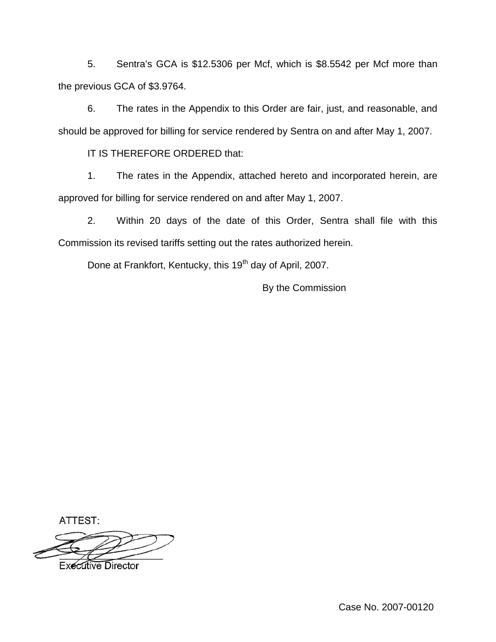5. Sentra's GCA is \$12.5306 per Mcf, which is \$8.5542 per Mcf more than the previous GCA of \$3.9764.

6. The rates in the Appendix to this Order are fair, just, and reasonable, and should be approved for billing for service rendered by Sentra on and after May 1, 2007.

IT IS THEREFORE ORDERED that:

1. The rates in the Appendix, attached hereto and incorporated herein, are approved for billing for service rendered on and after May 1, 2007.

2. Within 20 days of the date of this Order, Sentra shall file with this Commission its revised tariffs setting out the rates authorized herein.

Done at Frankfort, Kentucky, this 19<sup>th</sup> day of April, 2007.

By the Commission

ATTEST:

**Executive Director**